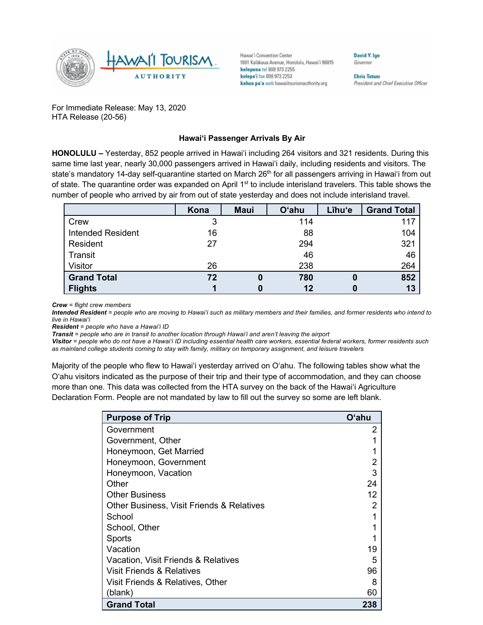

Hawai'i Convention Center 1801 Kalakaua Avenue, Honolulu, Hawai'i 96815 kelepona tel 808 973 2255 kelepa'i fax 808 973 2253 kahua pa'a web hawaiitourismauthority.org

**David Y. Ige** Governor

**Chris Tatum** President and Chief Executive Officer

For Immediate Release: May 13, 2020 HTA Release (20-56)

## **Hawai'i Passenger Arrivals By Air**

**HONOLULU –** Yesterday, 852 people arrived in Hawai'i including 264 visitors and 321 residents. During this same time last year, nearly 30,000 passengers arrived in Hawai'i daily, including residents and visitors. The state's mandatory 14-day self-quarantine started on March 26<sup>th</sup> for all passengers arriving in Hawai'i from out of state. The quarantine order was expanded on April 1<sup>st</sup> to include interisland travelers. This table shows the number of people who arrived by air from out of state yesterday and does not include interisland travel.

|                          | Kona | <b>Maui</b> | <b>O'ahu</b> | Līhu'e | <b>Grand Total</b> |
|--------------------------|------|-------------|--------------|--------|--------------------|
| Crew                     | 3    |             | 114          |        | 117                |
| <b>Intended Resident</b> | 16   |             | 88           |        | 104                |
| Resident                 | 27   |             | 294          |        | 321                |
| Transit                  |      |             | 46           |        | 46                 |
| Visitor                  | 26   |             | 238          |        | 264                |
| <b>Grand Total</b>       | 72   |             | 780          | 0      | 852                |
| <b>Flights</b>           |      |             | 12           |        | 13                 |

*Crew = flight crew members*

*Intended Resident = people who are moving to Hawai'i such as military members and their families, and former residents who intend to live in Hawai'i* 

*Resident = people who have a Hawai'i ID*

*Transit = people who are in transit to another location through Hawai'i and aren't leaving the airport*

*Visitor = people who do not have a Hawai'i ID including essential health care workers, essential federal workers, former residents such as mainland college students coming to stay with family, military on temporary assignment, and leisure travelers*

Majority of the people who flew to Hawai'i yesterday arrived on O'ahu. The following tables show what the O'ahu visitors indicated as the purpose of their trip and their type of accommodation, and they can choose more than one. This data was collected from the HTA survey on the back of the Hawai'i Agriculture Declaration Form. People are not mandated by law to fill out the survey so some are left blank.

| <b>Purpose of Trip</b>                    | O'ahu |
|-------------------------------------------|-------|
| Government                                | 2     |
| Government, Other                         |       |
| Honeymoon, Get Married                    |       |
| Honeymoon, Government                     |       |
| Honeymoon, Vacation                       | 3     |
| Other                                     | 24    |
| <b>Other Business</b>                     | 12    |
| Other Business, Visit Friends & Relatives | 2     |
| School                                    |       |
| School, Other                             |       |
| Sports                                    |       |
| Vacation                                  | 19    |
| Vacation, Visit Friends & Relatives       | 5     |
| Visit Friends & Relatives                 | 96    |
| Visit Friends & Relatives, Other          | 8     |
| (blank)                                   | 60    |
| <b>Grand Total</b>                        | 238   |